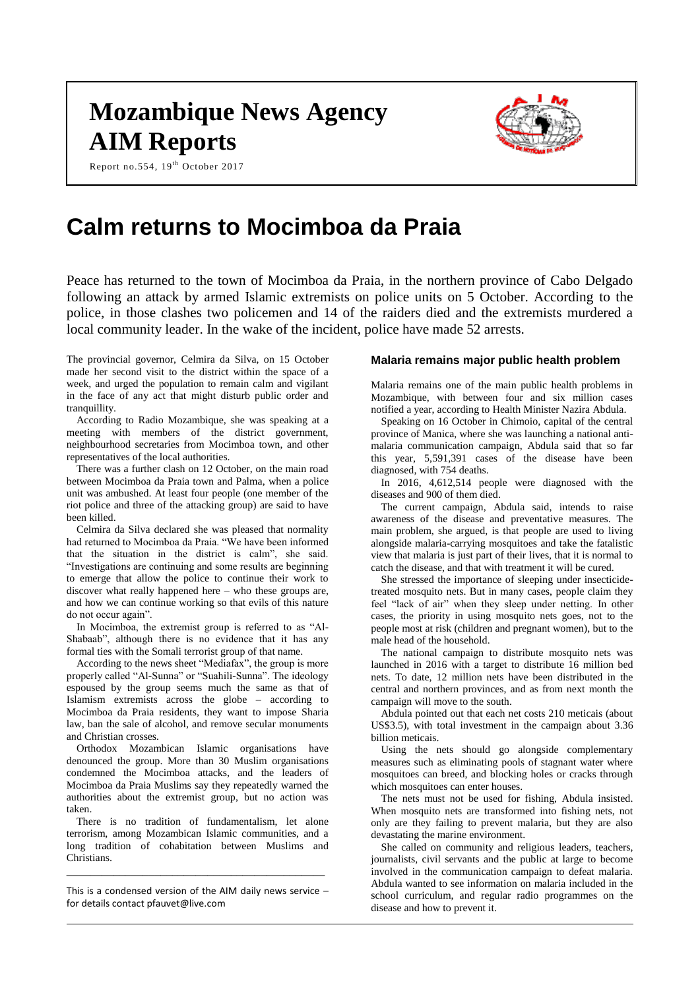# **Mozambique News Agency AIM Reports**





# **Calm returns to Mocimboa da Praia**

Peace has returned to the town of Mocimboa da Praia, in the northern province of Cabo Delgado following an attack by armed Islamic extremists on police units on 5 October. According to the police, in those clashes two policemen and 14 of the raiders died and the extremists murdered a local community leader. In the wake of the incident, police have made 52 arrests.

The provincial governor, Celmira da Silva, on 15 October made her second visit to the district within the space of a week, and urged the population to remain calm and vigilant in the face of any act that might disturb public order and tranquillity.

According to Radio Mozambique, she was speaking at a meeting with members of the district government, neighbourhood secretaries from Mocimboa town, and other representatives of the local authorities.

There was a further clash on 12 October, on the main road between Mocimboa da Praia town and Palma, when a police unit was ambushed. At least four people (one member of the riot police and three of the attacking group) are said to have been killed.

Celmira da Silva declared she was pleased that normality had returned to Mocimboa da Praia. "We have been informed that the situation in the district is calm", she said. "Investigations are continuing and some results are beginning to emerge that allow the police to continue their work to discover what really happened here – who these groups are, and how we can continue working so that evils of this nature do not occur again".

In Mocimboa, the extremist group is referred to as "Al-Shabaab", although there is no evidence that it has any formal ties with the Somali terrorist group of that name.

According to the news sheet "Mediafax", the group is more properly called "Al-Sunna" or "Suahili-Sunna". The ideology espoused by the group seems much the same as that of Islamism extremists across the globe – according to Mocimboa da Praia residents, they want to impose Sharia law, ban the sale of alcohol, and remove secular monuments and Christian crosses.

Orthodox Mozambican Islamic organisations have denounced the group. More than 30 Muslim organisations condemned the Mocimboa attacks, and the leaders of Mocimboa da Praia Muslims say they repeatedly warned the authorities about the extremist group, but no action was taken.

There is no tradition of fundamentalism, let alone terrorism, among Mozambican Islamic communities, and a long tradition of cohabitation between Muslims and Christians.

This is a condensed version of the AIM daily news service – for details contact [pfauvet@live.com](mailto:pfauvet@live.com)

\_\_\_\_\_\_\_\_\_\_\_\_\_\_\_\_\_\_\_\_\_\_\_\_\_\_\_\_\_\_\_\_\_\_\_\_\_\_\_\_\_\_\_\_

# **Malaria remains major public health problem**

Malaria remains one of the main public health problems in Mozambique, with between four and six million cases notified a year, according to Health Minister Nazira Abdula.

Speaking on 16 October in Chimoio, capital of the central province of Manica, where she was launching a national antimalaria communication campaign, Abdula said that so far this year, 5,591,391 cases of the disease have been diagnosed, with 754 deaths.

In 2016, 4,612,514 people were diagnosed with the diseases and 900 of them died.

The current campaign, Abdula said, intends to raise awareness of the disease and preventative measures. The main problem, she argued, is that people are used to living alongside malaria-carrying mosquitoes and take the fatalistic view that malaria is just part of their lives, that it is normal to catch the disease, and that with treatment it will be cured.

She stressed the importance of sleeping under insecticidetreated mosquito nets. But in many cases, people claim they feel "lack of air" when they sleep under netting. In other cases, the priority in using mosquito nets goes, not to the people most at risk (children and pregnant women), but to the male head of the household.

The national campaign to distribute mosquito nets was launched in 2016 with a target to distribute 16 million bed nets. To date, 12 million nets have been distributed in the central and northern provinces, and as from next month the campaign will move to the south.

Abdula pointed out that each net costs 210 meticais (about US\$3.5), with total investment in the campaign about 3.36 billion meticais.

Using the nets should go alongside complementary measures such as eliminating pools of stagnant water where mosquitoes can breed, and blocking holes or cracks through which mosquitoes can enter houses.

The nets must not be used for fishing, Abdula insisted. When mosquito nets are transformed into fishing nets, not only are they failing to prevent malaria, but they are also devastating the marine environment.

She called on community and religious leaders, teachers, journalists, civil servants and the public at large to become involved in the communication campaign to defeat malaria. Abdula wanted to see information on malaria included in the school curriculum, and regular radio programmes on the disease and how to prevent it.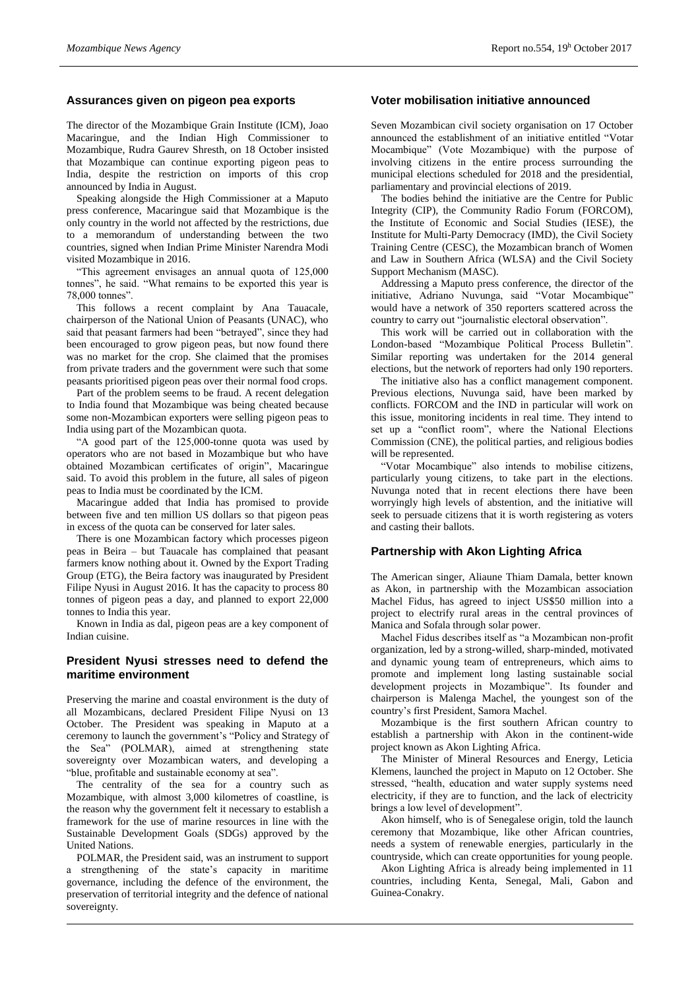#### **Assurances given on pigeon pea exports**

The director of the Mozambique Grain Institute (ICM), Joao Macaringue, and the Indian High Commissioner to Mozambique, Rudra Gaurev Shresth, on 18 October insisted that Mozambique can continue exporting pigeon peas to India, despite the restriction on imports of this crop announced by India in August.

Speaking alongside the High Commissioner at a Maputo press conference, Macaringue said that Mozambique is the only country in the world not affected by the restrictions, due to a memorandum of understanding between the two countries, signed when Indian Prime Minister Narendra Modi visited Mozambique in 2016.

"This agreement envisages an annual quota of 125,000 tonnes", he said. "What remains to be exported this year is 78,000 tonnes".

This follows a recent complaint by Ana Tauacale, chairperson of the National Union of Peasants (UNAC), who said that peasant farmers had been "betrayed", since they had been encouraged to grow pigeon peas, but now found there was no market for the crop. She claimed that the promises from private traders and the government were such that some peasants prioritised pigeon peas over their normal food crops.

Part of the problem seems to be fraud. A recent delegation to India found that Mozambique was being cheated because some non-Mozambican exporters were selling pigeon peas to India using part of the Mozambican quota.

"A good part of the 125,000-tonne quota was used by operators who are not based in Mozambique but who have obtained Mozambican certificates of origin", Macaringue said. To avoid this problem in the future, all sales of pigeon peas to India must be coordinated by the ICM.

Macaringue added that India has promised to provide between five and ten million US dollars so that pigeon peas in excess of the quota can be conserved for later sales.

There is one Mozambican factory which processes pigeon peas in Beira – but Tauacale has complained that peasant farmers know nothing about it. Owned by the Export Trading Group (ETG), the Beira factory was inaugurated by President Filipe Nyusi in August 2016. It has the capacity to process 80 tonnes of pigeon peas a day, and planned to export 22,000 tonnes to India this year.

Known in India as dal, pigeon peas are a key component of Indian cuisine.

#### **President Nyusi stresses need to defend the maritime environment**

Preserving the marine and coastal environment is the duty of all Mozambicans, declared President Filipe Nyusi on 13 October. The President was speaking in Maputo at a ceremony to launch the government's "Policy and Strategy of the Sea" (POLMAR), aimed at strengthening state sovereignty over Mozambican waters, and developing a "blue, profitable and sustainable economy at sea".

The centrality of the sea for a country such as Mozambique, with almost 3,000 kilometres of coastline, is the reason why the government felt it necessary to establish a framework for the use of marine resources in line with the Sustainable Development Goals (SDGs) approved by the United Nations.

POLMAR, the President said, was an instrument to support a strengthening of the state's capacity in maritime governance, including the defence of the environment, the preservation of territorial integrity and the defence of national sovereignty.

#### **Voter mobilisation initiative announced**

Seven Mozambican civil society organisation on 17 October announced the establishment of an initiative entitled "Votar Mocambique" (Vote Mozambique) with the purpose of involving citizens in the entire process surrounding the municipal elections scheduled for 2018 and the presidential, parliamentary and provincial elections of 2019.

The bodies behind the initiative are the Centre for Public Integrity (CIP), the Community Radio Forum (FORCOM), the Institute of Economic and Social Studies (IESE), the Institute for Multi-Party Democracy (IMD), the Civil Society Training Centre (CESC), the Mozambican branch of Women and Law in Southern Africa (WLSA) and the Civil Society Support Mechanism (MASC).

Addressing a Maputo press conference, the director of the initiative, Adriano Nuvunga, said "Votar Mocambique" would have a network of 350 reporters scattered across the country to carry out "journalistic electoral observation".

This work will be carried out in collaboration with the London-based "Mozambique Political Process Bulletin". Similar reporting was undertaken for the 2014 general elections, but the network of reporters had only 190 reporters.

The initiative also has a conflict management component. Previous elections, Nuvunga said, have been marked by conflicts. FORCOM and the IND in particular will work on this issue, monitoring incidents in real time. They intend to set up a "conflict room", where the National Elections Commission (CNE), the political parties, and religious bodies will be represented.

"Votar Mocambique" also intends to mobilise citizens, particularly young citizens, to take part in the elections. Nuvunga noted that in recent elections there have been worryingly high levels of abstention, and the initiative will seek to persuade citizens that it is worth registering as voters and casting their ballots.

# **Partnership with Akon Lighting Africa**

The American singer, Aliaune Thiam Damala, better known as Akon, in partnership with the Mozambican association Machel Fidus, has agreed to inject US\$50 million into a project to electrify rural areas in the central provinces of Manica and Sofala through solar power.

Machel Fidus describes itself as "a Mozambican non-profit organization, led by a strong-willed, sharp-minded, motivated and dynamic young team of entrepreneurs, which aims to promote and implement long lasting sustainable social development projects in Mozambique". Its founder and chairperson is Malenga Machel, the youngest son of the country's first President, Samora Machel.

Mozambique is the first southern African country to establish a partnership with Akon in the continent-wide project known as Akon Lighting Africa.

The Minister of Mineral Resources and Energy, Leticia Klemens, launched the project in Maputo on 12 October. She stressed, "health, education and water supply systems need electricity, if they are to function, and the lack of electricity brings a low level of development".

Akon himself, who is of Senegalese origin, told the launch ceremony that Mozambique, like other African countries, needs a system of renewable energies, particularly in the countryside, which can create opportunities for young people.

Akon Lighting Africa is already being implemented in 11 countries, including Kenta, Senegal, Mali, Gabon and Guinea-Conakry.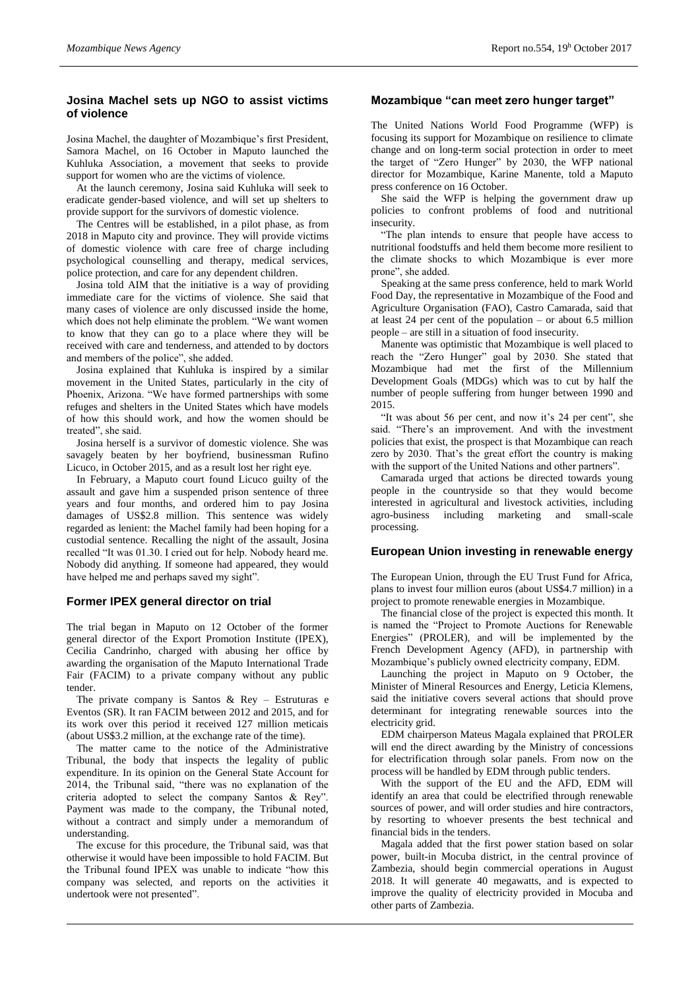#### **Josina Machel sets up NGO to assist victims of violence**

Josina Machel, the daughter of Mozambique's first President, Samora Machel, on 16 October in Maputo launched the Kuhluka Association, a movement that seeks to provide support for women who are the victims of violence.

At the launch ceremony, Josina said Kuhluka will seek to eradicate gender-based violence, and will set up shelters to provide support for the survivors of domestic violence.

The Centres will be established, in a pilot phase, as from 2018 in Maputo city and province. They will provide victims of domestic violence with care free of charge including psychological counselling and therapy, medical services, police protection, and care for any dependent children.

Josina told AIM that the initiative is a way of providing immediate care for the victims of violence. She said that many cases of violence are only discussed inside the home, which does not help eliminate the problem. "We want women to know that they can go to a place where they will be received with care and tenderness, and attended to by doctors and members of the police", she added.

Josina explained that Kuhluka is inspired by a similar movement in the United States, particularly in the city of Phoenix, Arizona. "We have formed partnerships with some refuges and shelters in the United States which have models of how this should work, and how the women should be treated", she said.

Josina herself is a survivor of domestic violence. She was savagely beaten by her boyfriend, businessman Rufino Licuco, in October 2015, and as a result lost her right eye.

In February, a Maputo court found Licuco guilty of the assault and gave him a suspended prison sentence of three years and four months, and ordered him to pay Josina damages of US\$2.8 million. This sentence was widely regarded as lenient: the Machel family had been hoping for a custodial sentence. Recalling the night of the assault, Josina recalled "It was 01.30. I cried out for help. Nobody heard me. Nobody did anything. If someone had appeared, they would have helped me and perhaps saved my sight".

# **Former IPEX general director on trial**

The trial began in Maputo on 12 October of the former general director of the Export Promotion Institute (IPEX), Cecilia Candrinho, charged with abusing her office by awarding the organisation of the Maputo International Trade Fair (FACIM) to a private company without any public tender.

The private company is Santos  $\&$  Rey – Estruturas e Eventos (SR). It ran FACIM between 2012 and 2015, and for its work over this period it received 127 million meticais (about US\$3.2 million, at the exchange rate of the time).

The matter came to the notice of the Administrative Tribunal, the body that inspects the legality of public expenditure. In its opinion on the General State Account for 2014, the Tribunal said, "there was no explanation of the criteria adopted to select the company Santos & Rey". Payment was made to the company, the Tribunal noted, without a contract and simply under a memorandum of understanding.

The excuse for this procedure, the Tribunal said, was that otherwise it would have been impossible to hold FACIM. But the Tribunal found IPEX was unable to indicate "how this company was selected, and reports on the activities it undertook were not presented".

# **Mozambique "can meet zero hunger target"**

The United Nations World Food Programme (WFP) is focusing its support for Mozambique on resilience to climate change and on long-term social protection in order to meet the target of "Zero Hunger" by 2030, the WFP national director for Mozambique, Karine Manente, told a Maputo press conference on 16 October.

She said the WFP is helping the government draw up policies to confront problems of food and nutritional insecurity.

"The plan intends to ensure that people have access to nutritional foodstuffs and held them become more resilient to the climate shocks to which Mozambique is ever more prone", she added.

Speaking at the same press conference, held to mark World Food Day, the representative in Mozambique of the Food and Agriculture Organisation (FAO), Castro Camarada, said that at least 24 per cent of the population – or about 6.5 million people – are still in a situation of food insecurity.

Manente was optimistic that Mozambique is well placed to reach the "Zero Hunger" goal by 2030. She stated that Mozambique had met the first of the Millennium Development Goals (MDGs) which was to cut by half the number of people suffering from hunger between 1990 and 2015.

"It was about 56 per cent, and now it's 24 per cent", she said. "There's an improvement. And with the investment policies that exist, the prospect is that Mozambique can reach zero by 2030. That's the great effort the country is making with the support of the United Nations and other partners".

Camarada urged that actions be directed towards young people in the countryside so that they would become interested in agricultural and livestock activities, including agro-business including marketing and small-scale processing.

#### **European Union investing in renewable energy**

The European Union, through the EU Trust Fund for Africa, plans to invest four million euros (about US\$4.7 million) in a project to promote renewable energies in Mozambique.

The financial close of the project is expected this month. It is named the "Project to Promote Auctions for Renewable Energies" (PROLER), and will be implemented by the French Development Agency (AFD), in partnership with Mozambique's publicly owned electricity company, EDM.

Launching the project in Maputo on 9 October, the Minister of Mineral Resources and Energy, Leticia Klemens, said the initiative covers several actions that should prove determinant for integrating renewable sources into the electricity grid.

EDM chairperson Mateus Magala explained that PROLER will end the direct awarding by the Ministry of concessions for electrification through solar panels. From now on the process will be handled by EDM through public tenders.

With the support of the EU and the AFD, EDM will identify an area that could be electrified through renewable sources of power, and will order studies and hire contractors, by resorting to whoever presents the best technical and financial bids in the tenders.

Magala added that the first power station based on solar power, built-in Mocuba district, in the central province of Zambezia, should begin commercial operations in August 2018. It will generate 40 megawatts, and is expected to improve the quality of electricity provided in Mocuba and other parts of Zambezia.